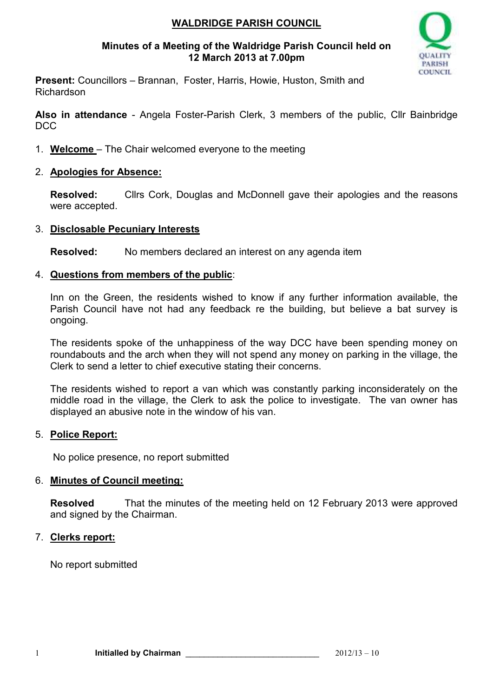# **WALDRIDGE PARISH COUNCIL**

## **Minutes of a Meeting of the Waldridge Parish Council held on 12 March 2013 at 7.00pm**



**Present:** Councillors – Brannan, Foster, Harris, Howie, Huston, Smith and Richardson

**Also in attendance** - Angela Foster-Parish Clerk, 3 members of the public, Cllr Bainbridge DCC

1. **Welcome** – The Chair welcomed everyone to the meeting

## 2. **Apologies for Absence:**

**Resolved:** Cllrs Cork, Douglas and McDonnell gave their apologies and the reasons were accepted.

## 3. **Disclosable Pecuniary Interests**

**Resolved:** No members declared an interest on any agenda item

## 4. **Questions from members of the public**:

Inn on the Green, the residents wished to know if any further information available, the Parish Council have not had any feedback re the building, but believe a bat survey is ongoing.

The residents spoke of the unhappiness of the way DCC have been spending money on roundabouts and the arch when they will not spend any money on parking in the village, the Clerk to send a letter to chief executive stating their concerns.

The residents wished to report a van which was constantly parking inconsiderately on the middle road in the village, the Clerk to ask the police to investigate. The van owner has displayed an abusive note in the window of his van.

## 5. **Police Report:**

No police presence, no report submitted

#### 6. **Minutes of Council meeting:**

**Resolved** That the minutes of the meeting held on 12 February 2013 were approved and signed by the Chairman.

## 7. **Clerks report:**

No report submitted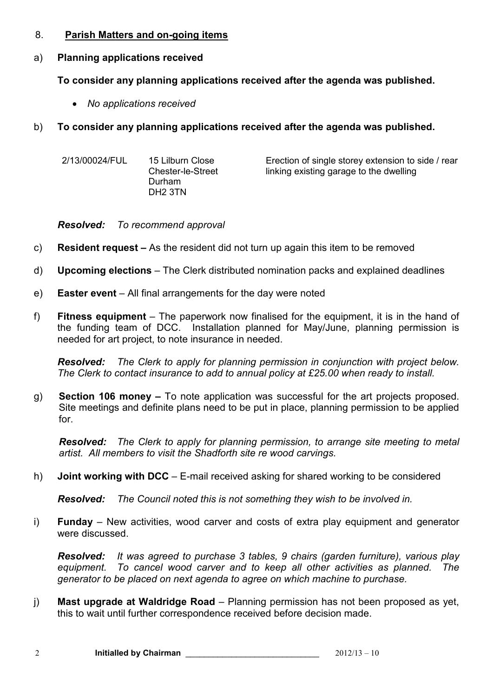## 8. **Parish Matters and on-going items**

# a) **Planning applications received**

**To consider any planning applications received after the agenda was published.** 

- *No applications received*
- b) **To consider any planning applications received after the agenda was published.**

| 2/13/00024/FUL | 15 Lilburn Close<br><b>Chester-le-Street</b><br>Durham<br>DH <sub>2</sub> 3TN | Erection of single storey extension to side / rear<br>linking existing garage to the dwelling |
|----------------|-------------------------------------------------------------------------------|-----------------------------------------------------------------------------------------------|
|----------------|-------------------------------------------------------------------------------|-----------------------------------------------------------------------------------------------|

*Resolved: To recommend approval* 

- c) **Resident request –** As the resident did not turn up again this item to be removed
- d) **Upcoming elections**  The Clerk distributed nomination packs and explained deadlines
- e) **Easter event**  All final arrangements for the day were noted
- f) **Fitness equipment**  The paperwork now finalised for the equipment, it is in the hand of the funding team of DCC. Installation planned for May/June, planning permission is needed for art project, to note insurance in needed.

*Resolved: The Clerk to apply for planning permission in conjunction with project below. The Clerk to contact insurance to add to annual policy at £25.00 when ready to install.* 

g) **Section 106 money –** To note application was successful for the art projects proposed. Site meetings and definite plans need to be put in place, planning permission to be applied for.

*Resolved: The Clerk to apply for planning permission, to arrange site meeting to metal artist. All members to visit the Shadforth site re wood carvings.*

h) **Joint working with DCC** – E-mail received asking for shared working to be considered

*Resolved: The Council noted this is not something they wish to be involved in.* 

i) **Funday** – New activities, wood carver and costs of extra play equipment and generator were discussed.

*Resolved: It was agreed to purchase 3 tables, 9 chairs (garden furniture), various play equipment. To cancel wood carver and to keep all other activities as planned. The generator to be placed on next agenda to agree on which machine to purchase.* 

j) **Mast upgrade at Waldridge Road** – Planning permission has not been proposed as yet, this to wait until further correspondence received before decision made.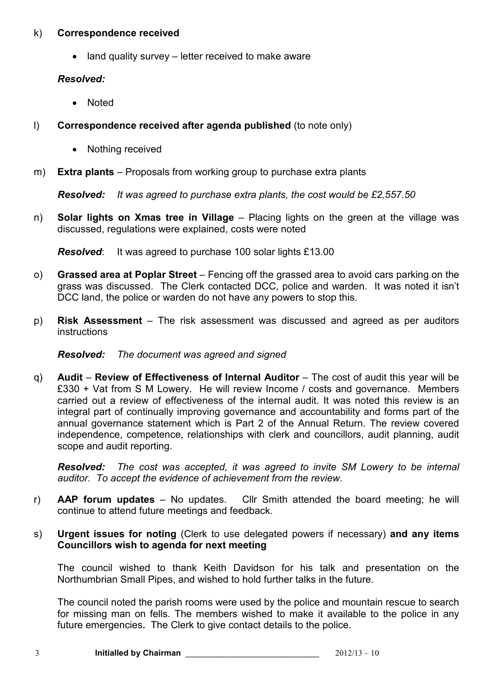#### k) **Correspondence received**

• land quality survey – letter received to make aware

## *Resolved:*

- Noted
- l) **Correspondence received after agenda published** (to note only)
	- Nothing received
- m) **Extra plants**  Proposals from working group to purchase extra plants

*Resolved: It was agreed to purchase extra plants, the cost would be £2,557.50* 

n) **Solar lights on Xmas tree in Village** – Placing lights on the green at the village was discussed, regulations were explained, costs were noted

*Resolved:* It was agreed to purchase 100 solar lights £13.00

- o) **Grassed area at Poplar Street**  Fencing off the grassed area to avoid cars parking on the grass was discussed. The Clerk contacted DCC, police and warden. It was noted it isn't DCC land, the police or warden do not have any powers to stop this.
- p) **Risk Assessment**  The risk assessment was discussed and agreed as per auditors instructions

## *Resolved: The document was agreed and signed*

q) **Audit** – **Review of Effectiveness of Internal Auditor** – The cost of audit this year will be £330 + Vat from S M Lowery. He will review Income / costs and governance. Members carried out a review of effectiveness of the internal audit. It was noted this review is an integral part of continually improving governance and accountability and forms part of the annual governance statement which is Part 2 of the Annual Return. The review covered independence, competence, relationships with clerk and councillors, audit planning, audit scope and audit reporting.

*Resolved: The cost was accepted, it was agreed to invite SM Lowery to be internal auditor. To accept the evidence of achievement from the review*.

- r) **AAP forum updates**  No updates. Cllr Smith attended the board meeting; he will continue to attend future meetings and feedback.
- s) **Urgent issues for noting** (Clerk to use delegated powers if necessary) **and any items Councillors wish to agenda for next meeting**

The council wished to thank Keith Davidson for his talk and presentation on the Northumbrian Small Pipes, and wished to hold further talks in the future.

The council noted the parish rooms were used by the police and mountain rescue to search for missing man on fells. The members wished to make it available to the police in any future emergencies**.** The Clerk to give contact details to the police.